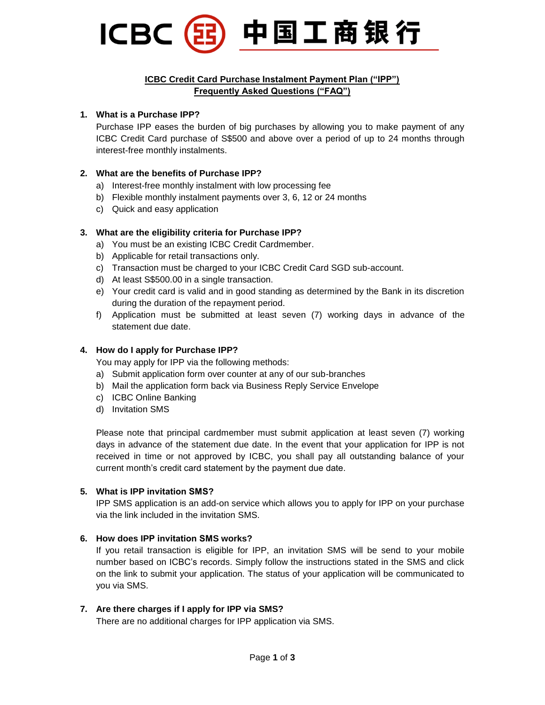

# **ICBC Credit Card Purchase Instalment Payment Plan ("IPP") Frequently Asked Questions ("FAQ")**

# **1. What is a Purchase IPP?**

Purchase IPP eases the burden of big purchases by allowing you to make payment of any ICBC Credit Card purchase of S\$500 and above over a period of up to 24 months through interest-free monthly instalments.

# **2. What are the benefits of Purchase IPP?**

- a) Interest-free monthly instalment with low processing fee
- b) Flexible monthly instalment payments over 3, 6, 12 or 24 months
- c) Quick and easy application

# **3. What are the eligibility criteria for Purchase IPP?**

- a) You must be an existing ICBC Credit Cardmember.
- b) Applicable for retail transactions only.
- c) Transaction must be charged to your ICBC Credit Card SGD sub-account.
- d) At least S\$500.00 in a single transaction.
- e) Your credit card is valid and in good standing as determined by the Bank in its discretion during the duration of the repayment period.
- f) Application must be submitted at least seven (7) working days in advance of the statement due date.

# **4. How do I apply for Purchase IPP?**

You may apply for IPP via the following methods:

- a) Submit application form over counter at any of our sub-branches
- b) Mail the application form back via Business Reply Service Envelope
- c) ICBC Online Banking
- d) Invitation SMS

Please note that principal cardmember must submit application at least seven (7) working days in advance of the statement due date. In the event that your application for IPP is not received in time or not approved by ICBC, you shall pay all outstanding balance of your current month's credit card statement by the payment due date.

# **5. What is IPP i[nvitation SMS](about:blank)?**

IPP SMS application is an add-on service which allows you to apply for IPP on your purchase via the link included in the invitation SMS.

# **6. How does IP[P invitation SM](about:blank)S works?**

If you retail transaction is eligible for IPP, an invitation SMS will be send to your mobile number based on ICBC's records. Simply follow the instructions stated in the SMS and click on the link to submit your application. The status of your application will be communicated to you via SMS.

#### **7. [Are there charges if I apply for](about:blank) IPP via SMS?**

There are no additional charges for IPP application via SMS.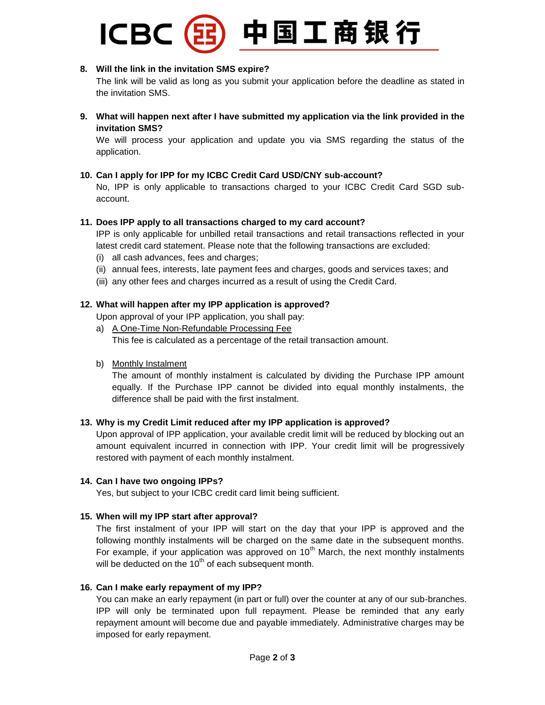# 中国工商银行 **ICBC**

# **8. [Will](about:blank) the link in the invitation SMS expire?**

The link will be valid as long as you submit your application before the deadline as stated in the invitation SMS.

**9. What will happen next [after I have submitted my application via the link provided in the](about:blank)  [invitation SMS?](about:blank)**

We will process your application and update you via SMS regarding the status of the application.

# **10. Can I apply for IPP for my ICBC Credit Card USD/CNY sub-account?**

No, IPP is only applicable to transactions charged to your ICBC Credit Card SGD subaccount.

# **11. Does IPP apply to all transactions charged to my card account?**

IPP is only applicable for unbilled retail transactions and retail transactions reflected in your latest credit card statement. Please note that the following transactions are excluded:

- (i) all cash advances, fees and charges;
- (ii) annual fees, interests, late payment fees and charges, goods and services taxes; and
- (iii) any other fees and charges incurred as a result of using the Credit Card.

# **12. What will happen after my IPP application is approved?**

Upon approval of your IPP application, you shall pay:

- a) A One-Time Non-Refundable Processing Fee This fee is calculated as a percentage of the retail transaction amount.
- b) Monthly Instalment

The amount of monthly instalment is calculated by dividing the Purchase IPP amount equally. If the Purchase IPP cannot be divided into equal monthly instalments, the difference shall be paid with the first instalment.

# **13. Why is my Credit Limit reduced after my IPP application is approved?**

Upon approval of IPP application, your available credit limit will be reduced by blocking out an amount equivalent incurred in connection with IPP. Your credit limit will be progressively restored with payment of each monthly instalment.

# **14. Can I have two ongoing IPPs?**

Yes, but subject to your ICBC credit card limit being sufficient.

# **15. When will my IPP start after approval?**

The first instalment of your IPP will start on the day that your IPP is approved and the following monthly instalments will be charged on the same date in the subsequent months. For example, if your application was approved on  $10<sup>th</sup>$  March, the next monthly instalments will be deducted on the  $10<sup>th</sup>$  of each subsequent month.

# **16. Can I make early repayment of my IPP?**

You can make an early repayment (in part or full) over the counter at any of our sub-branches. IPP will only be terminated upon full repayment. Please be reminded that any early repayment amount will become due and payable immediately. Administrative charges may be imposed for early repayment.